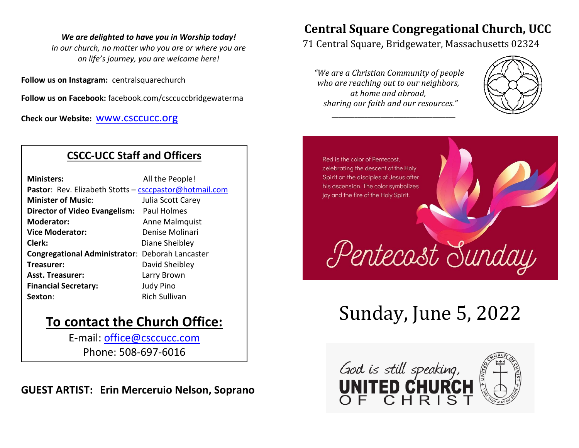#### *We are delighted to have you in Worship today!*

*In our church, no matter who you are or where you are on life's journey, you are welcome here!*

**Follow us on Instagram:** centralsquarechurch

**Follow us on Facebook:** facebook.com/csccuccbridgewaterma

**Check our Website:** www.csccucc.org

### **CSCC-UCC Staff and Officers**

| <b>Ministers:</b>                                      | All the People!      |  |
|--------------------------------------------------------|----------------------|--|
| Pastor: Rev. Elizabeth Stotts - csccpastor@hotmail.com |                      |  |
| <b>Minister of Music:</b>                              | Julia Scott Carey    |  |
| Director of Video Evangelism: Paul Holmes              |                      |  |
| <b>Moderator:</b>                                      | Anne Malmquist       |  |
| <b>Vice Moderator:</b>                                 | Denise Molinari      |  |
| Clerk:                                                 | Diane Sheibley       |  |
| <b>Congregational Administrator: Deborah Lancaster</b> |                      |  |
| Treasurer:                                             | David Sheibley       |  |
| <b>Asst. Treasurer:</b>                                | Larry Brown          |  |
| <b>Financial Secretary:</b>                            | <b>Judy Pino</b>     |  |
| Sexton:                                                | <b>Rich Sullivan</b> |  |

## **To contact the Church Office:**

E-mail: office@csccucc.com Phone: 508-697-6016

**GUEST ARTIST: Erin Merceruio Nelson, Soprano**

## **Central Square Congregational Church, UCC**

71 Central Square, Bridgewater, Massachusetts 02324

*"We are a Christian Community of people who are reaching out to our neighbors, at home and abroad, sharing our faith and our resources."*

*\_\_\_\_\_\_\_\_\_\_\_\_\_\_\_\_\_\_\_\_\_\_\_\_\_\_\_\_\_\_\_\_\_\_\_\_\_\_*



Red is the color of Pentecost. celebrating the descent of the Holy Spirit on the disciples of Jesus after his ascension. The color symbolizes joy and the fire of the Holy Spirit.

# Sunday, June 5, 2022

Pentecast Sunday

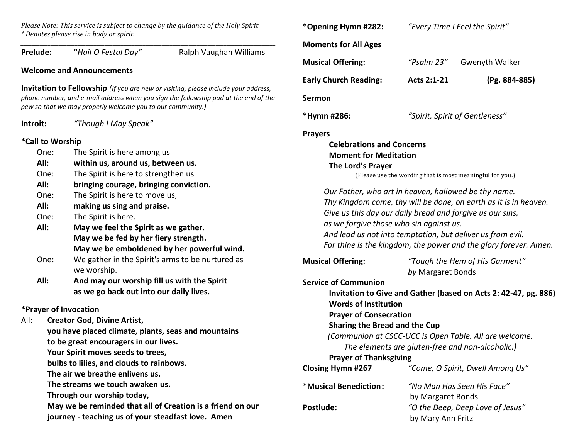*Please Note: This service is subject to change by the guidance of the Holy Spirit \* Denotes please rise in body or spirit.*

*\_\_\_\_\_\_\_\_\_\_\_\_\_\_\_\_\_\_\_\_\_\_\_\_\_\_\_\_\_\_\_\_\_\_\_\_\_\_\_\_\_\_\_\_\_\_\_\_\_\_\_\_\_\_\_\_\_\_\_\_\_\_\_\_\_\_\_\_\_\_\_\_\_\_\_\_\_\_\_\_\_\_\_\_\_\_\_\_\_\_\_\_\_\_* **Prelude: "***Hail O Festal Day"* Ralph Vaughan Williams **Welcome and Announcements Invitation to Fellowship** *(If you are new or visiting, please include your address, phone number, and e-mail address when you sign the fellowship pad at the end of the pew so that we may properly welcome you to our community.)* **Introit:** *"Though I May Speak"* **\*Call to Worship** One: The Spirit is here among us **All: within us, around us, between us.**

- One: The Spirit is here to strengthen us
- **All: bringing courage, bringing conviction.**
- One: The Spirit is here to move us,
- **All: making us sing and praise.**
- One: The Spirit is here.
- **All: May we feel the Spirit as we gather. May we be fed by her fiery strength. May we be emboldened by her powerful wind.**
- One: We gather in the Spirit's arms to be nurtured as we worship.
- **All: And may our worship fill us with the Spirit as we go back out into our daily lives.**

### **\*Prayer of Invocation**

All: **Creator God, Divine Artist, you have placed climate, plants, seas and mountains to be great encouragers in our lives. Your Spirit moves seeds to trees, bulbs to lilies, and clouds to rainbows. The air we breathe enlivens us. The streams we touch awaken us. Through our worship today, May we be reminded that all of Creation is a friend on our journey - teaching us of your steadfast love. Amen**

| *Opening Hymn #282:                                                                                                                                                                                                        |                                                           | "Every Time I Feel the Spirit"                                                                                                       |  |
|----------------------------------------------------------------------------------------------------------------------------------------------------------------------------------------------------------------------------|-----------------------------------------------------------|--------------------------------------------------------------------------------------------------------------------------------------|--|
| <b>Moments for All Ages</b>                                                                                                                                                                                                |                                                           |                                                                                                                                      |  |
| <b>Musical Offering:</b>                                                                                                                                                                                                   | "Psalm 23"                                                | <b>Gwenyth Walker</b>                                                                                                                |  |
| <b>Early Church Reading:</b>                                                                                                                                                                                               | Acts 2:1-21                                               | (Pg. 884-885)                                                                                                                        |  |
| Sermon                                                                                                                                                                                                                     |                                                           |                                                                                                                                      |  |
| *Hymn #286:                                                                                                                                                                                                                | "Spirit, Spirit of Gentleness"                            |                                                                                                                                      |  |
| <b>Celebrations and Concerns</b><br><b>Moment for Meditation</b><br>The Lord's Prayer                                                                                                                                      | (Please use the wording that is most meaningful for you.) |                                                                                                                                      |  |
| Our Father, who art in heaven, hallowed be thy name.<br>Give us this day our daily bread and forgive us our sins,<br>as we forgive those who sin against us.<br>And lead us not into temptation, but deliver us from evil. |                                                           | Thy Kingdom come, thy will be done, on earth as it is in heaven.<br>For thine is the kingdom, the power and the glory forever. Amen. |  |
| <b>Musical Offering:</b>                                                                                                                                                                                                   | by Margaret Bonds                                         | "Tough the Hem of His Garment"                                                                                                       |  |
| <b>Service of Communion</b><br><b>Words of Institution</b><br><b>Prayer of Consecration</b><br>Sharing the Bread and the Cup<br><b>Prayer of Thanksgiving</b><br><b>Closing Hymn #267</b>                                  | The elements are gluten-free and non-alcoholic.)          | Invitation to Give and Gather (based on Acts 2: 42-47, pg. 886)<br>(Communion at CSCC-UCC is Open Table. All are welcome.            |  |
| *Musical Benediction:                                                                                                                                                                                                      |                                                           | "Come, O Spirit, Dwell Among Us"                                                                                                     |  |
|                                                                                                                                                                                                                            | "No Man Has Seen His Face"                                |                                                                                                                                      |  |
| Postlude:                                                                                                                                                                                                                  | by Margaret Bonds<br>by Mary Ann Fritz                    | "O the Deep, Deep Love of Jesus"                                                                                                     |  |